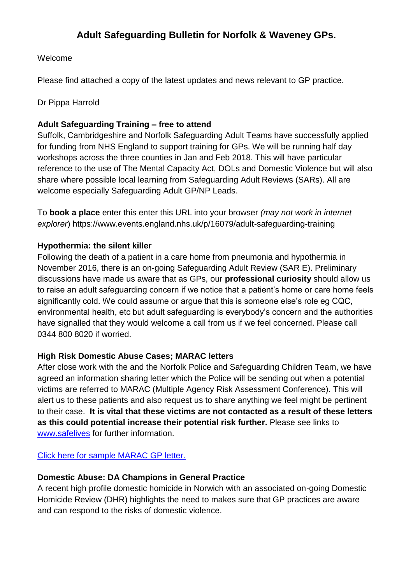# **Adult Safeguarding Bulletin for Norfolk & Waveney GPs.**

#### Welcome

Please find attached a copy of the latest updates and news relevant to GP practice.

#### Dr Pippa Harrold

## **Adult Safeguarding Training – free to attend**

Suffolk, Cambridgeshire and Norfolk Safeguarding Adult Teams have successfully applied for funding from NHS England to support training for GPs. We will be running half day workshops across the three counties in Jan and Feb 2018. This will have particular reference to the use of The Mental Capacity Act, DOLs and Domestic Violence but will also share where possible local learning from Safeguarding Adult Reviews (SARs). All are welcome especially Safeguarding Adult GP/NP Leads.

To **book a place** enter this enter this URL into your browser *(may not work in internet explorer*) <https://www.events.england.nhs.uk/p/16079/adult-safeguarding-training>

#### **Hypothermia: the silent killer**

Following the death of a patient in a care home from pneumonia and hypothermia in November 2016, there is an on-going Safeguarding Adult Review (SAR E). Preliminary discussions have made us aware that as GPs, our **professional curiosity** should allow us to raise an adult safeguarding concern if we notice that a patient's home or care home feels significantly cold. We could assume or argue that this is someone else's role eg CQC, environmental health, etc but adult safeguarding is everybody's concern and the authorities have signalled that they would welcome a call from us if we feel concerned. Please call 0344 800 8020 if worried.

#### **High Risk Domestic Abuse Cases; MARAC letters**

After close work with the and the Norfolk Police and Safeguarding Children Team, we have agreed an information sharing letter which the Police will be sending out when a potential victims are referred to MARAC (Multiple Agency Risk Assessment Conference). This will alert us to these patients and also request us to share anything we feel might be pertinent to their case. **It is vital that these victims are not contacted as a result of these letters as this could potential increase their potential risk further.** Please see links to [www.safelives](http://www.safelives/) for further information.

[Click here for](https://www.norfolksafeguardingadultsboard.info/professionals/guidance-and-documents/) sample MARAC GP letter.

#### **Domestic Abuse: DA Champions in General Practice**

A recent high profile domestic homicide in Norwich with an associated on-going Domestic Homicide Review (DHR) highlights the need to makes sure that GP practices are aware and can respond to the risks of domestic violence.